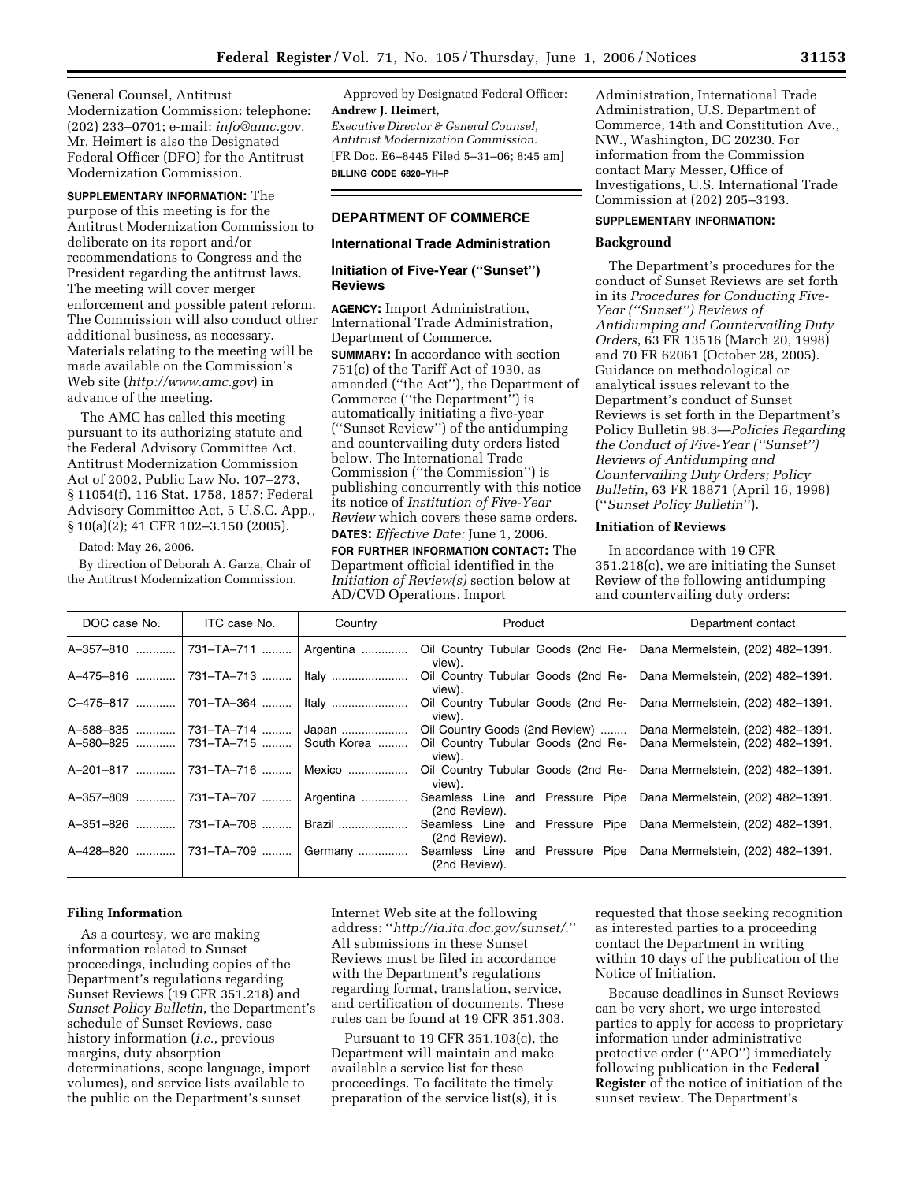General Counsel, Antitrust Modernization Commission: telephone: (202) 233–0701; e-mail: *info@amc.gov.*  Mr. Heimert is also the Designated Federal Officer (DFO) for the Antitrust Modernization Commission.

**SUPPLEMENTARY INFORMATION:** The purpose of this meeting is for the Antitrust Modernization Commission to deliberate on its report and/or recommendations to Congress and the President regarding the antitrust laws. The meeting will cover merger enforcement and possible patent reform. The Commission will also conduct other additional business, as necessary. Materials relating to the meeting will be made available on the Commission's Web site (*http://www.amc.gov*) in advance of the meeting.

The AMC has called this meeting pursuant to its authorizing statute and the Federal Advisory Committee Act. Antitrust Modernization Commission Act of 2002, Public Law No. 107–273, § 11054(f), 116 Stat. 1758, 1857; Federal Advisory Committee Act, 5 U.S.C. App., § 10(a)(2); 41 CFR 102–3.150 (2005).

Dated: May 26, 2006.

By direction of Deborah A. Garza, Chair of the Antitrust Modernization Commission.

Approved by Designated Federal Officer: **Andrew J. Heimert,**  *Executive Director & General Counsel, Antitrust Modernization Commission.*  [FR Doc. E6–8445 Filed 5–31–06; 8:45 am] **BILLING CODE 6820–YH–P** 

# **DEPARTMENT OF COMMERCE**

### **International Trade Administration**

# **Initiation of Five-Year (''Sunset'') Reviews**

**AGENCY:** Import Administration, International Trade Administration, Department of Commerce.

**SUMMARY:** In accordance with section 751(c) of the Tariff Act of 1930, as amended (''the Act''), the Department of Commerce (''the Department'') is automatically initiating a five-year (''Sunset Review'') of the antidumping and countervailing duty orders listed below. The International Trade Commission (''the Commission'') is publishing concurrently with this notice its notice of *Institution of Five-Year Review* which covers these same orders. **DATES:** *Effective Date:* June 1, 2006.

**FOR FURTHER INFORMATION CONTACT:** The Department official identified in the *Initiation of Review(s)* section below at AD/CVD Operations, Import

Administration, International Trade Administration, U.S. Department of Commerce, 14th and Constitution Ave., NW., Washington, DC 20230. For information from the Commission contact Mary Messer, Office of Investigations, U.S. International Trade Commission at (202) 205–3193.

## **SUPPLEMENTARY INFORMATION:**

### **Background**

The Department's procedures for the conduct of Sunset Reviews are set forth in its *Procedures for Conducting Five-Year (''Sunset'') Reviews of Antidumping and Countervailing Duty Orders*, 63 FR 13516 (March 20, 1998) and 70 FR 62061 (October 28, 2005). Guidance on methodological or analytical issues relevant to the Department's conduct of Sunset Reviews is set forth in the Department's Policy Bulletin 98.3—*Policies Regarding the Conduct of Five-Year (''Sunset'') Reviews of Antidumping and Countervailing Duty Orders; Policy Bulletin*, 63 FR 18871 (April 16, 1998) (''*Sunset Policy Bulletin*'').

## **Initiation of Reviews**

In accordance with 19 CFR 351.218(c), we are initiating the Sunset Review of the following antidumping and countervailing duty orders:

| DOC case No.   | ITC case No.            | Country        | Product                                                                              | Department contact                |
|----------------|-------------------------|----------------|--------------------------------------------------------------------------------------|-----------------------------------|
| A-357-810      | 731-TA-711    Argentina |                | Oil Country Tubular Goods (2nd Re-<br>view).                                         | Dana Mermelstein, (202) 482-1391. |
| A-475-816      | 731-TA-713    Italy     |                | Oil Country Tubular Goods (2nd Re-<br>view).                                         | Dana Mermelstein, (202) 482-1391. |
| C-475-817      | 701-TA-364    Italy     |                | Oil Country Tubular Goods (2nd Re-<br>view).                                         | Dana Mermelstein, (202) 482-1391. |
| A-588-835      | 731-TA-714  Japan       |                | Oil Country Goods (2nd Review)                                                       | Dana Mermelstein, (202) 482-1391. |
| A-580-825      | 731–TA–715  South Korea |                | Oil Country Tubular Goods (2nd Re-<br>view).                                         | Dana Mermelstein, (202) 482-1391. |
| A-201-817      | 731-TA-716              | $\vert$ Mexico | Oil Country Tubular Goods (2nd Re-<br>view).                                         | Dana Mermelstein, (202) 482-1391. |
| A-357-809<br>. | 731-TA-707    Argentina |                | Seamless Line and Pressure Pipe<br>(2nd Review).                                     | Dana Mermelstein, (202) 482-1391. |
| A-351-826      | 731-TA-708              | Brazil         | Seamless Line and Pressure Pipe<br>(2nd Review).                                     | Dana Mermelstein, (202) 482-1391. |
| A-428-820      | 731-TA-709  Germany     |                | Seamless Line and Pressure Pipe   Dana Mermelstein, (202) 482–1391.<br>(2nd Review). |                                   |

### **Filing Information**

As a courtesy, we are making information related to Sunset proceedings, including copies of the Department's regulations regarding Sunset Reviews (19 CFR 351.218) and *Sunset Policy Bulletin*, the Department's schedule of Sunset Reviews, case history information (*i.e.*, previous margins, duty absorption determinations, scope language, import volumes), and service lists available to the public on the Department's sunset

Internet Web site at the following address: ''*http://ia.ita.doc.gov/sunset/*.'' All submissions in these Sunset Reviews must be filed in accordance with the Department's regulations regarding format, translation, service, and certification of documents. These rules can be found at 19 CFR 351.303.

Pursuant to 19 CFR 351.103(c), the Department will maintain and make available a service list for these proceedings. To facilitate the timely preparation of the service list(s), it is

requested that those seeking recognition as interested parties to a proceeding contact the Department in writing within 10 days of the publication of the Notice of Initiation.

Because deadlines in Sunset Reviews can be very short, we urge interested parties to apply for access to proprietary information under administrative protective order (''APO'') immediately following publication in the **Federal Register** of the notice of initiation of the sunset review. The Department's